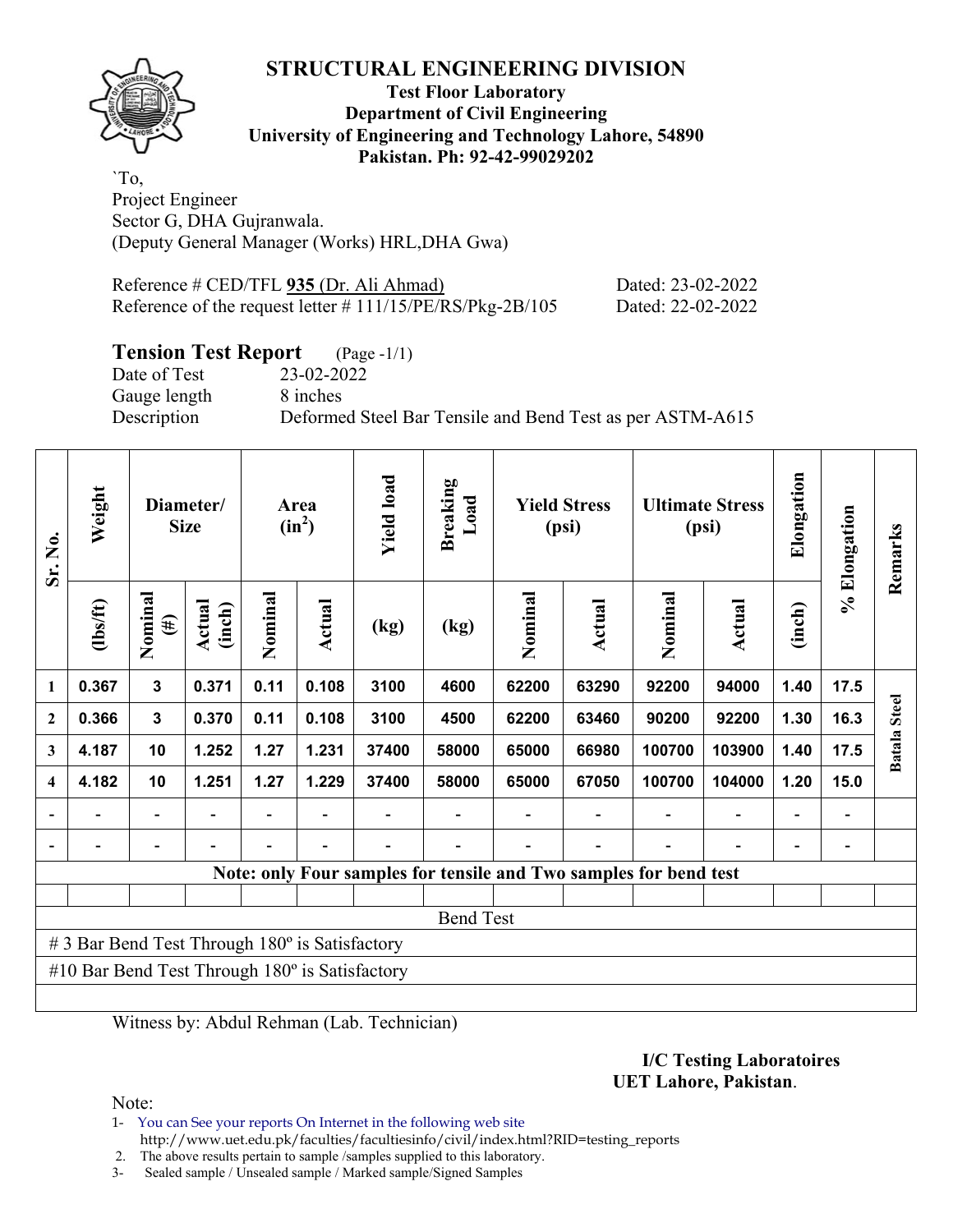## **STRUCTURAL ENGINEERING DIVISION**

**Test Floor Laboratory Department of Civil Engineering University of Engineering and Technology Lahore, 54890 Pakistan. Ph: 92-42-99029202** 

`To, Project Engineer Sector G, DHA Gujranwala. (Deputy General Manager (Works) HRL,DHA Gwa)

| Reference # CED/TFL 935 (Dr. Ali Ahmad)                      | Dated: 23-02-2022 |
|--------------------------------------------------------------|-------------------|
| Reference of the request letter $\# 111/15/PE/RS/Pkg-2B/105$ | Dated: 22-02-2022 |

# **Tension Test Report** (Page -1/1)

Date of Test 23-02-2022 Gauge length 8 inches

Description Deformed Steel Bar Tensile and Bend Test as per ASTM-A615

| Sr. No.                                                           | Weight         | Diameter/<br><b>Size</b> |                  | Area<br>$(in^2)$ |        | <b>Yield load</b> | <b>Breaking</b><br>Load | <b>Yield Stress</b><br>(psi) |        | <b>Ultimate Stress</b><br>(psi) |               | Elongation | % Elongation | Remarks      |
|-------------------------------------------------------------------|----------------|--------------------------|------------------|------------------|--------|-------------------|-------------------------|------------------------------|--------|---------------------------------|---------------|------------|--------------|--------------|
|                                                                   | $\frac{2}{10}$ | Nominal<br>$(\#)$        | Actual<br>(inch) | Nominal          | Actual | (kg)              | (kg)                    | Nominal                      | Actual | Nominal                         | <b>Actual</b> | (inch)     |              |              |
| 1                                                                 | 0.367          | 3                        | 0.371            | 0.11             | 0.108  | 3100              | 4600                    | 62200                        | 63290  | 92200                           | 94000         | 1.40       | 17.5         |              |
| $\boldsymbol{2}$                                                  | 0.366          | 3                        | 0.370            | 0.11             | 0.108  | 3100              | 4500                    | 62200                        | 63460  | 90200                           | 92200         | 1.30       | 16.3         | <b>Steel</b> |
| 3                                                                 | 4.187          | 10                       | 1.252            | 1.27             | 1.231  | 37400             | 58000                   | 65000                        | 66980  | 100700                          | 103900        | 1.40       | 17.5         | Batala       |
| $\overline{\mathbf{4}}$                                           | 4.182          | 10                       | 1.251            | 1.27             | 1.229  | 37400             | 58000                   | 65000                        | 67050  | 100700                          | 104000        | 1.20       | 15.0         |              |
|                                                                   |                |                          |                  |                  |        |                   |                         |                              |        |                                 |               |            |              |              |
|                                                                   |                |                          |                  |                  |        |                   |                         |                              |        |                                 |               |            |              |              |
| Note: only Four samples for tensile and Two samples for bend test |                |                          |                  |                  |        |                   |                         |                              |        |                                 |               |            |              |              |
|                                                                   |                |                          |                  |                  |        |                   |                         |                              |        |                                 |               |            |              |              |
| <b>Bend Test</b>                                                  |                |                          |                  |                  |        |                   |                         |                              |        |                                 |               |            |              |              |
| # 3 Bar Bend Test Through 180° is Satisfactory                    |                |                          |                  |                  |        |                   |                         |                              |        |                                 |               |            |              |              |
| #10 Bar Bend Test Through $180^\circ$ is Satisfactory             |                |                          |                  |                  |        |                   |                         |                              |        |                                 |               |            |              |              |
|                                                                   |                |                          |                  |                  |        |                   |                         |                              |        |                                 |               |            |              |              |

Witness by: Abdul Rehman (Lab. Technician)

#### **I/C Testing Laboratoires UET Lahore, Pakistan**.

Note:

1- You can See your reports On Internet in the following web site http://www.uet.edu.pk/faculties/facultiesinfo/civil/index.html?RID=testing\_reports

2. The above results pertain to sample /samples supplied to this laboratory.

3- Sealed sample / Unsealed sample / Marked sample/Signed Samples